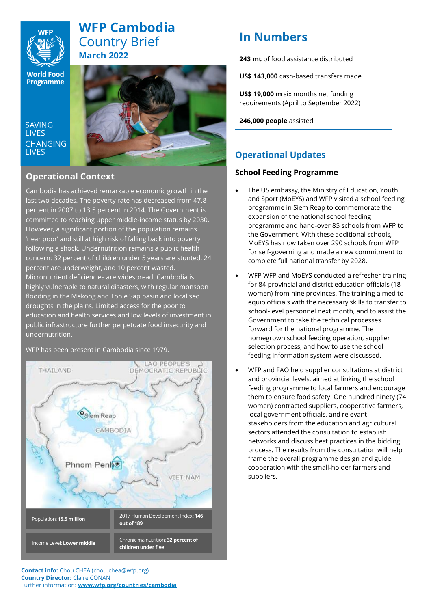

# **WFP Cambodia**  Country Brief **March 2022**

**World Food** Programme

**SAVING I IVES CHANGING LIVES** 



### **Operational Context**

Cambodia has achieved remarkable economic growth in the last two decades. The poverty rate has decreased from 47.8 percent in 2007 to 13.5 percent in 2014. The Government is committed to reaching upper middle-income status by 2030. However, a significant portion of the population remains 'near poor' and still at high risk of falling back into poverty following a shock. Undernutrition remains a public health concern: 32 percent of children under 5 years are stunted, 24 percent are underweight, and 10 percent wasted. Micronutrient deficiencies are widespread. Cambodia is highly vulnerable to natural disasters, with regular monsoon flooding in the Mekong and Tonle Sap basin and localised droughts in the plains. Limited access for the poor to education and health services and low levels of investment in public infrastructure further perpetuate food insecurity and undernutrition.

LAO PEOPLE'S **THAILAND** MOCRATIC REPUBLIC DE Siem Reap CAMBODIA Phnom Penh **FT NAM** 2017 Human Development Index**: 146**  Population: **15.5 million out of 189** Chronic malnutrition: **32 percent of**  Income Level: **Lower middle children under five**

WFP has been present in Cambodia since 1979.

# **In Numbers**

**243 mt** of food assistance distributed

**US\$ 143,000** cash-based transfers made

**US\$ 19,000 m** six months net funding requirements (April to September 2022)

**246,000 people** assisted

## **Operational Updates**

### **School Feeding Programme**

- The US embassy, the Ministry of Education, Youth and Sport (MoEYS) and WFP visited a school feeding programme in Siem Reap to commemorate the expansion of the national school feeding programme and hand-over 85 schools from WFP to the Government. With these additional schools, MoEYS has now taken over 290 schools from WFP for self-governing and made a new commitment to complete full national transfer by 2028.
- WFP WFP and MoEYS conducted a refresher training for 84 provincial and district education officials (18 women) from nine provinces. The training aimed to equip officials with the necessary skills to transfer to school-level personnel next month, and to assist the Government to take the technical processes forward for the national programme. The homegrown school feeding operation, supplier selection process, and how to use the school feeding information system were discussed.
- WFP and FAO held supplier consultations at district and provincial levels, aimed at linking the school feeding programme to local farmers and encourage them to ensure food safety. One hundred ninety (74 women) contracted suppliers, cooperative farmers, local government officials, and relevant stakeholders from the education and agricultural sectors attended the consultation to establish networks and discuss best practices in the bidding process. The results from the consultation will help frame the overall programme design and guide cooperation with the small-holder farmers and suppliers.

**Contact info:** Chou CHEA (chou.chea@wfp.org) **Country Director:** Claire CONAN Further information: **www.wfp.org/countries/cambodia**